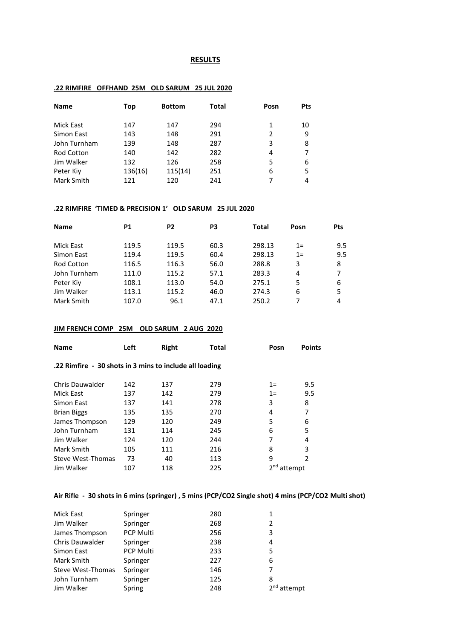#### **RESULTS**

#### **.22 RIMFIRE OFFHAND 25M OLD SARUM 25 JUL 2020**

| <b>Name</b>       | Top     | <b>Bottom</b> | <b>Total</b> | Posn | <b>Pts</b> |
|-------------------|---------|---------------|--------------|------|------------|
| Mick East         | 147     | 147           | 294          | 1    |            |
|                   |         |               |              |      | 10         |
| Simon East        | 143     | 148           | 291          | 2    | 9          |
| John Turnham      | 139     | 148           | 287          | 3    | 8          |
| <b>Rod Cotton</b> | 140     | 142           | 282          | 4    |            |
| Jim Walker        | 132     | 126           | 258          | 5    | 6          |
| Peter Kiy         | 136(16) | 115(14)       | 251          | 6    | 5          |
| Mark Smith        | 121     | 120           | 241          |      | 4          |

#### **.22 RIMFIRE 'TIMED & PRECISION 1' OLD SARUM 25 JUL 2020**

| <b>Name</b>       | <b>P1</b> | P <sub>2</sub> | P3   | Total  | Posn | <b>Pts</b> |
|-------------------|-----------|----------------|------|--------|------|------------|
|                   |           |                |      |        |      |            |
| Mick East         | 119.5     | 119.5          | 60.3 | 298.13 | $1=$ | 9.5        |
| Simon East        | 119.4     | 119.5          | 60.4 | 298.13 | $1=$ | 9.5        |
| <b>Rod Cotton</b> | 116.5     | 116.3          | 56.0 | 288.8  | 3    | 8          |
| John Turnham      | 111.0     | 115.2          | 57.1 | 283.3  | 4    | 7          |
| Peter Kiy         | 108.1     | 113.0          | 54.0 | 275.1  | 5    | 6          |
| Jim Walker        | 113.1     | 115.2          | 46.0 | 274.3  | 6    | 5          |
| Mark Smith        | 107.0     | 96.1           | 47.1 | 250.2  | 7    | 4          |

### **JIM FRENCH COMP 25M OLD SARUM 2 AUG 2020**

| <b>Name</b>                                             | Left | Right | Total | Posn          | <b>Points</b>  |
|---------------------------------------------------------|------|-------|-------|---------------|----------------|
| .22 Rimfire - 30 shots in 3 mins to include all loading |      |       |       |               |                |
| Chris Dauwalder                                         | 142  | 137   | 279   | $1=$          | 9.5            |
| Mick East                                               | 137  | 142   | 279   | $1=$          | 9.5            |
| Simon East                                              | 137  | 141   | 278   | 3             | 8              |
| <b>Brian Biggs</b>                                      | 135  | 135   | 270   | 4             | 7              |
| James Thompson                                          | 129  | 120   | 249   | 5             | 6              |
| John Turnham                                            | 131  | 114   | 245   | 6             | 5              |
| Jim Walker                                              | 124  | 120   | 244   | 7             | 4              |
| Mark Smith                                              | 105  | 111   | 216   | 8             | 3              |
| Steve West-Thomas                                       | 73   | 40    | 113   | 9             | $\mathfrak{p}$ |
| Jim Walker                                              | 107  | 118   | 225   | $2nd$ attempt |                |

## **Air Rifle - 30 shots in 6 mins (springer) , 5 mins (PCP/CO2 Single shot) 4 mins (PCP/CO2 Multi shot)**

| Mick East         | Springer         | 280 | 1             |
|-------------------|------------------|-----|---------------|
| Jim Walker        | Springer         | 268 | 2             |
| James Thompson    | <b>PCP Multi</b> | 256 | 3             |
| Chris Dauwalder   | Springer         | 238 | 4             |
| Simon East        | <b>PCP Multi</b> | 233 | 5             |
| Mark Smith        | Springer         | 227 | 6             |
| Steve West-Thomas | Springer         | 146 | 7             |
| John Turnham      | Springer         | 125 | 8             |
| Jim Walker        | Spring           | 248 | $2nd$ attempt |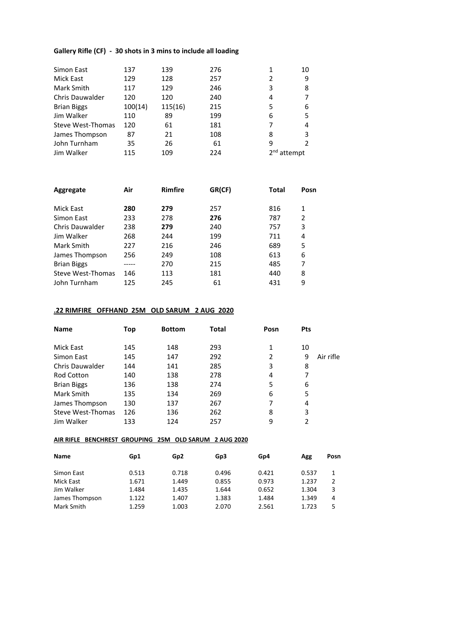### **Gallery Rifle (CF) - 30 shots in 3 mins to include all loading**

| Simon East         | 137     | 139     | 276 |               | 10 |
|--------------------|---------|---------|-----|---------------|----|
| Mick East          | 129     | 128     | 257 | $\mathfrak z$ | 9  |
| Mark Smith         | 117     | 129     | 246 | 3             | 8  |
| Chris Dauwalder    | 120     | 120     | 240 | 4             |    |
| <b>Brian Biggs</b> | 100(14) | 115(16) | 215 | 5             | 6  |
| Jim Walker         | 110     | 89      | 199 | 6             |    |
| Steve West-Thomas  | 120     | 61      | 181 |               | 4  |
| James Thompson     | 87      | 21      | 108 | 8             |    |
| John Turnham       | 35      | 26      | 61  | 9             |    |
| Jim Walker         | 115     | 109     | 224 | $2nd$ attempt |    |

| Aggregate              | Air | <b>Rimfire</b> | GR(CF) | <b>Total</b> | Posn         |
|------------------------|-----|----------------|--------|--------------|--------------|
|                        |     |                |        |              |              |
| Mick East              | 280 | 279            | 257    | 816          | $\mathbf{1}$ |
| Simon East             | 233 | 278            | 276    | 787          | 2            |
| <b>Chris Dauwalder</b> | 238 | 279            | 240    | 757          | 3            |
| Jim Walker             | 268 | 244            | 199    | 711          | 4            |
| Mark Smith             | 227 | 216            | 246    | 689          | 5            |
| James Thompson         | 256 | 249            | 108    | 613          | 6            |
| <b>Brian Biggs</b>     |     | 270            | 215    | 485          | 7            |
| Steve West-Thomas      | 146 | 113            | 181    | 440          | 8            |
| John Turnham           | 125 | 245            | 61     | 431          | 9            |

## **.22 RIMFIRE OFFHAND 25M OLD SARUM 2 AUG 2020**

| <b>Name</b>        | Top | <b>Bottom</b> | Total | Posn | <b>Pts</b> |           |
|--------------------|-----|---------------|-------|------|------------|-----------|
| Mick East          | 145 | 148           | 293   | 1    | 10         |           |
| Simon East         | 145 | 147           | 292   | 2    | 9          | Air rifle |
| Chris Dauwalder    | 144 | 141           | 285   | 3    | 8          |           |
| Rod Cotton         | 140 | 138           | 278   | 4    |            |           |
| <b>Brian Biggs</b> | 136 | 138           | 274   | 5    | 6          |           |
| Mark Smith         | 135 | 134           | 269   | 6    | 5          |           |
| James Thompson     | 130 | 137           | 267   | 7    | 4          |           |
| Steve West-Thomas  | 126 | 136           | 262   | 8    | 3          |           |
| Jim Walker         | 133 | 124           | 257   | 9    |            |           |

#### **AIR RIFLE BENCHREST GROUPING 25M OLD SARUM 2 AUG 2020**

| <b>Name</b>    | Gp1   | Gp <sub>2</sub> | Gp3   | Gp4   | Agg   | Posn |
|----------------|-------|-----------------|-------|-------|-------|------|
| Simon East     | 0.513 | 0.718           | 0.496 | 0.421 | 0.537 | 1    |
| Mick East      | 1.671 | 1.449           | 0.855 | 0.973 | 1.237 | 2    |
| Jim Walker     | 1.484 | 1.435           | 1.644 | 0.652 | 1.304 | 3    |
| James Thompson | 1.122 | 1.407           | 1.383 | 1.484 | 1.349 | 4    |
| Mark Smith     | 1.259 | 1.003           | 2.070 | 2.561 | 1.723 | 5    |